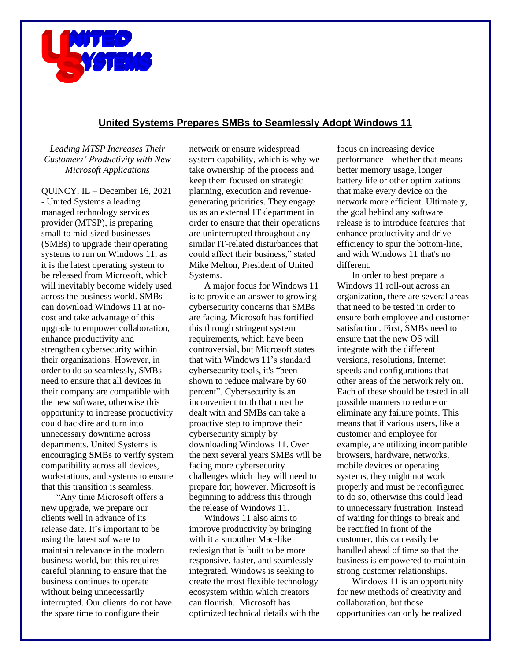

## **United Systems Prepares SMBs to Seamlessly Adopt Windows 11**

*Leading MTSP Increases Their Customers' Productivity with New Microsoft Applications*

QUINCY, IL – December 16, 2021 - United Systems a leading managed technology services provider (MTSP), is preparing small to mid-sized businesses (SMBs) to upgrade their operating systems to run on Windows 11, as it is the latest operating system to be released from Microsoft, which will inevitably become widely used across the business world. SMBs can download Windows 11 at nocost and take advantage of this upgrade to empower collaboration, enhance productivity and strengthen cybersecurity within their organizations. However, in order to do so seamlessly, SMBs need to ensure that all devices in their company are compatible with the new software, otherwise this opportunity to increase productivity could backfire and turn into unnecessary downtime across departments. United Systems is encouraging SMBs to verify system compatibility across all devices, workstations, and systems to ensure that this transition is seamless.

"Any time Microsoft offers a new upgrade, we prepare our clients well in advance of its release date. It's important to be using the latest software to maintain relevance in the modern business world, but this requires careful planning to ensure that the business continues to operate without being unnecessarily interrupted. Our clients do not have the spare time to configure their

network or ensure widespread system capability, which is why we take ownership of the process and keep them focused on strategic planning, execution and revenuegenerating priorities. They engage us as an external IT department in order to ensure that their operations are uninterrupted throughout any similar IT-related disturbances that could affect their business," stated Mike Melton, President of United Systems.

A major focus for Windows 11 is to provide an answer to growing cybersecurity concerns that SMBs are facing. Microsoft has fortified this through stringent system requirements, which have been controversial, but Microsoft states that with Windows 11's standard cybersecurity tools, it's "been shown to reduce malware by 60 percent". Cybersecurity is an inconvenient truth that must be dealt with and SMBs can take a proactive step to improve their cybersecurity simply by downloading Windows 11. Over the next several years SMBs will be facing more cybersecurity challenges which they will need to prepare for; however, Microsoft is beginning to address this through the release of Windows 11.

Windows 11 also aims to improve productivity by bringing with it a smoother Mac-like redesign that is built to be more responsive, faster, and seamlessly integrated. Windows is seeking to create the most flexible technology ecosystem within which creators can flourish. Microsoft has optimized technical details with the focus on increasing device performance - whether that means better memory usage, longer battery life or other optimizations that make every device on the network more efficient. Ultimately, the goal behind any software release is to introduce features that enhance productivity and drive efficiency to spur the bottom-line, and with Windows 11 that's no different.

In order to best prepare a Windows 11 roll-out across an organization, there are several areas that need to be tested in order to ensure both employee and customer satisfaction. First, SMBs need to ensure that the new OS will integrate with the different versions, resolutions, Internet speeds and configurations that other areas of the network rely on. Each of these should be tested in all possible manners to reduce or eliminate any failure points. This means that if various users, like a customer and employee for example, are utilizing incompatible browsers, hardware, networks, mobile devices or operating systems, they might not work properly and must be reconfigured to do so, otherwise this could lead to unnecessary frustration. Instead of waiting for things to break and be rectified in front of the customer, this can easily be handled ahead of time so that the business is empowered to maintain strong customer relationships.

Windows 11 is an opportunity for new methods of creativity and collaboration, but those opportunities can only be realized